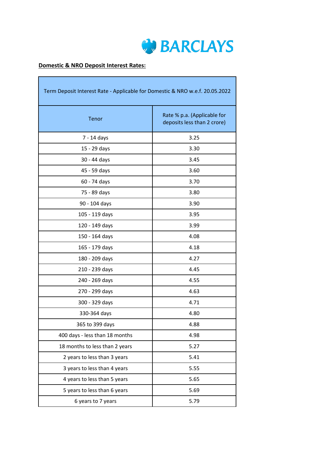

# **Domestic & NRO Deposit Interest Rates:**

| Term Deposit Interest Rate - Applicable for Domestic & NRO w.e.f. 20.05.2022 |                                                            |  |  |
|------------------------------------------------------------------------------|------------------------------------------------------------|--|--|
| Tenor                                                                        | Rate % p.a. (Applicable for<br>deposits less than 2 crore) |  |  |
| 7 - 14 days                                                                  | 3.25                                                       |  |  |
| 15 - 29 days                                                                 | 3.30                                                       |  |  |
| 30 - 44 days                                                                 | 3.45                                                       |  |  |
| 45 - 59 days                                                                 | 3.60                                                       |  |  |
| 60 - 74 days                                                                 | 3.70                                                       |  |  |
| 75 - 89 days                                                                 | 3.80                                                       |  |  |
| 90 - 104 days                                                                | 3.90                                                       |  |  |
| 105 - 119 days                                                               | 3.95                                                       |  |  |
| 120 - 149 days                                                               | 3.99                                                       |  |  |
| 150 - 164 days                                                               | 4.08                                                       |  |  |
| 165 - 179 days                                                               | 4.18                                                       |  |  |
| 180 - 209 days                                                               | 4.27                                                       |  |  |
| 210 - 239 days                                                               | 4.45                                                       |  |  |
| 240 - 269 days                                                               | 4.55                                                       |  |  |
| 270 - 299 days                                                               | 4.63                                                       |  |  |
| 300 - 329 days                                                               | 4.71                                                       |  |  |
| 330-364 days                                                                 | 4.80                                                       |  |  |
| 365 to 399 days                                                              | 4.88                                                       |  |  |
| 400 days - less than 18 months                                               | 4.98                                                       |  |  |
| 18 months to less than 2 years                                               | 5.27                                                       |  |  |
| 2 years to less than 3 years                                                 | 5.41                                                       |  |  |
| 3 years to less than 4 years                                                 | 5.55                                                       |  |  |
| 4 years to less than 5 years                                                 | 5.65                                                       |  |  |
| 5 years to less than 6 years                                                 | 5.69                                                       |  |  |
| 6 years to 7 years                                                           | 5.79                                                       |  |  |

<u> 1989 - Johann Stein, marwolaethau a bhannaich an t-Albann an t-Albann an t-Albann an t-Albann an t-Albann an </u>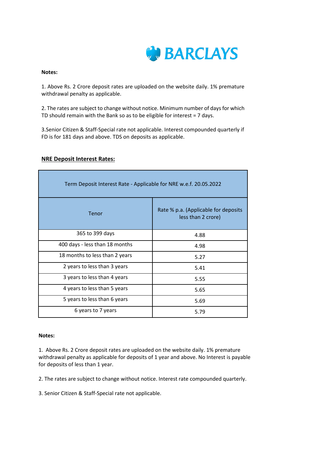

#### **Notes:**

1. Above Rs. 2 Crore deposit rates are uploaded on the website daily. 1% premature withdrawal penalty as applicable.

2. The rates are subject to change without notice. Minimum number of days for which TD should remain with the Bank so as to be eligible for interest = 7 days.

3.Senior Citizen & Staff-Special rate not applicable. Interest compounded quarterly if FD is for 181 days and above. TDS on deposits as applicable.

|  | <b>NRE Deposit Interest Rates:</b> |  |
|--|------------------------------------|--|
|  |                                    |  |

| Term Deposit Interest Rate - Applicable for NRE w.e.f. 20.05.2022 |                                                            |  |  |
|-------------------------------------------------------------------|------------------------------------------------------------|--|--|
| Tenor                                                             | Rate % p.a. (Applicable for deposits<br>less than 2 crore) |  |  |
| 365 to 399 days                                                   | 4.88                                                       |  |  |
| 400 days - less than 18 months                                    | 4.98                                                       |  |  |
| 18 months to less than 2 years                                    | 5.27                                                       |  |  |
| 2 years to less than 3 years                                      | 5.41                                                       |  |  |
| 3 years to less than 4 years                                      | 5.55                                                       |  |  |
| 4 years to less than 5 years                                      | 5.65                                                       |  |  |
| 5 years to less than 6 years                                      | 5.69                                                       |  |  |
| 6 years to 7 years                                                | 5.79                                                       |  |  |

#### **Notes:**

1. Above Rs. 2 Crore deposit rates are uploaded on the website daily. 1% premature withdrawal penalty as applicable for deposits of 1 year and above. No Interest is payable for deposits of less than 1 year.

2. The rates are subject to change without notice. Interest rate compounded quarterly.

3. Senior Citizen & Staff-Special rate not applicable.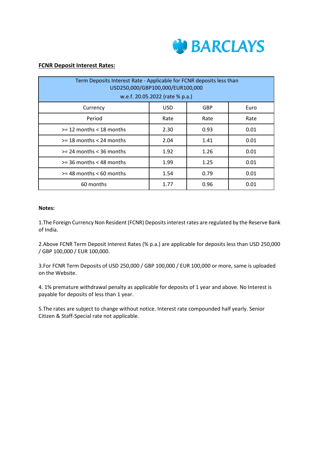

## **FCNR Deposit Interest Rates:**

| Term Deposits Interest Rate - Applicable for FCNR deposits less than<br>USD250,000/GBP100,000/EUR100,000<br>w.e.f. 20.05.2022 (rate % p.a.) |            |      |      |  |
|---------------------------------------------------------------------------------------------------------------------------------------------|------------|------|------|--|
| Currency                                                                                                                                    | <b>USD</b> | GBP  | Euro |  |
| Period                                                                                                                                      | Rate       | Rate | Rate |  |
| $>= 12$ months $< 18$ months                                                                                                                | 2.30       | 0.93 | 0.01 |  |
| $>=$ 18 months $<$ 24 months                                                                                                                | 2.04       | 1.41 | 0.01 |  |
| $>= 24$ months $<$ 36 months                                                                                                                | 1.92       | 1.26 | 0.01 |  |
| $>=$ 36 months $<$ 48 months                                                                                                                | 1.99       | 1.25 | 0.01 |  |
| $>=$ 48 months $<$ 60 months                                                                                                                | 1.54       | 0.79 | 0.01 |  |
| 60 months                                                                                                                                   | 1.77       | 0.96 | 0.01 |  |

# **Notes:**

1.The Foreign Currency Non Resident (FCNR) Deposits interest rates are regulated by the Reserve Bank of India.

2.Above FCNR Term Deposit Interest Rates (% p.a.) are applicable for deposits less than USD 250,000 / GBP 100,000 / EUR 100,000.

3.For FCNR Term Deposits of USD 250,000 / GBP 100,000 / EUR 100,000 or more, same is uploaded on the Website.

4. 1% premature withdrawal penalty as applicable for deposits of 1 year and above. No Interest is payable for deposits of less than 1 year.

5.The rates are subject to change without notice. Interest rate compounded half yearly. Senior Citizen & Staff-Special rate not applicable.